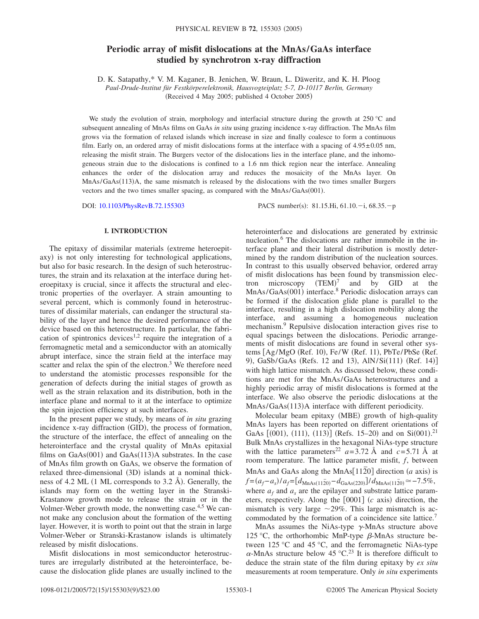# **Periodic array of misfit dislocations at the MnAs/GaAs interface studied by synchrotron x-ray diffraction**

D. K. Satapathy,\* V. M. Kaganer, B. Jenichen, W. Braun, L. Däweritz, and K. H. Ploog *Paul-Drude-Institut für Festkörperelektronik, Hausvogteiplatz 5-7, D-10117 Berlin, Germany* (Received 4 May 2005; published 4 October 2005)

We study the evolution of strain, morphology and interfacial structure during the growth at 250 °C and subsequent annealing of MnAs films on GaAs *in situ* using grazing incidence x-ray diffraction. The MnAs film grows via the formation of relaxed islands which increase in size and finally coalesce to form a continuous film. Early on, an ordered array of misfit dislocations forms at the interface with a spacing of  $4.95\pm0.05$  nm, releasing the misfit strain. The Burgers vector of the dislocations lies in the interface plane, and the inhomogeneous strain due to the dislocations is confined to a 1.6 nm thick region near the interface. Annealing enhances the order of the dislocation array and reduces the mosaicity of the MnAs layer. On MnAs/GaAs(113)A, the same mismatch is released by the dislocations with the two times smaller Burgers vectors and the two times smaller spacing, as compared with the MnAs/GaAs(001).

DOI: [10.1103/PhysRevB.72.155303](http://dx.doi.org/10.1103/PhysRevB.72.155303)

PACS number(s): 81.15.Hi, 61.10. $-i$ , 68.35. $-p$ 

# **I. INTRODUCTION**

The epitaxy of dissimilar materials (extreme heteroepitaxy) is not only interesting for technological applications, but also for basic research. In the design of such heterostructures, the strain and its relaxation at the interface during heteroepitaxy is crucial, since it affects the structural and electronic properties of the overlayer. A strain amounting to several percent, which is commonly found in heterostructures of dissimilar materials, can endanger the structural stability of the layer and hence the desired performance of the device based on this heterostructure. In particular, the fabrication of spintronics devices<sup>1,2</sup> require the integration of a ferromagnetic metal and a semiconductor with an atomically abrupt interface, since the strain field at the interface may scatter and relax the spin of the electron.<sup>3</sup> We therefore need to understand the atomistic processes responsible for the generation of defects during the initial stages of growth as well as the strain relaxation and its distribution, both in the interface plane and normal to it at the interface to optimize the spin injection efficiency at such interfaces.

In the present paper we study, by means of *in situ* grazing incidence x-ray diffraction (GID), the process of formation, the structure of the interface, the effect of annealing on the heterointerface and the crystal quality of MnAs epitaxial films on  $GaAs(001)$  and  $GaAs(113)A$  substrates. In the case of MnAs film growth on GaAs, we observe the formation of relaxed three-dimensional (3D) islands at a nominal thickness of 4.2 ML  $(1 \text{ ML corresponds to } 3.2 \text{ Å})$ . Generally, the islands may form on the wetting layer in the Stranski-Krastanow growth mode to release the strain or in the Volmer-Weber growth mode, the nonwetting case.<sup>4,5</sup> We cannot make any conclusion about the formation of the wetting layer. However, it is worth to point out that the strain in large Volmer-Weber or Stranski-Krastanow islands is ultimately released by misfit dislocations.

Misfit dislocations in most semiconductor heterostructures are irregularly distributed at the heterointerface, because the dislocation glide planes are usually inclined to the heterointerface and dislocations are generated by extrinsic nucleation.<sup>6</sup> The dislocations are rather immobile in the interface plane and their lateral distribution is mostly determined by the random distribution of the nucleation sources. In contrast to this usually observed behavior, ordered array of misfit dislocations has been found by transmission electron microscopy  $(TEM)^7$  and by GID at the MnAs/GaAs(001) interface.<sup>8</sup> Periodic dislocation arrays can be formed if the dislocation glide plane is parallel to the interface, resulting in a high dislocation mobility along the interface, and assuming a homogeneous nucleation mechanism.<sup>9</sup> Repulsive dislocation interaction gives rise to equal spacings between the dislocations. Periodic arrangements of misfit dislocations are found in several other systems [Ag/MgO (Ref. 10), Fe/W (Ref. 11), PbTe/PbSe (Ref. 9), GaSb/GaAs (Refs. 12 and 13), AlN/Si(111) (Ref. 14)] with high lattice mismatch. As discussed below, these conditions are met for the MnAs/GaAs heterostructures and a highly periodic array of misfit dislocations is formed at the interface. We also observe the periodic dislocations at the MnAs/GaAs(113)A interface with different periodicity.

Molecular beam epitaxy (MBE) growth of high-quality MnAs layers has been reported on different orientations of GaAs  $[(001), (111), (113)]$  (Refs. 15–20) and on Si $(001).^{21}$ Bulk MnAs crystallizes in the hexagonal NiAs-type structure with the lattice parameters<sup>22</sup>  $a=3.72$  Å and  $c=5.71$  Å at room temperature. The lattice parameter misfit, *f*, between MnAs and GaAs along the MnAs $[11\overline{2}0]$  direction *(a* axis) is  $f = (a_f - a_s) / a_f = [d_{\text{MnAs}(11\bar{2}0)} - d_{\text{GaAs}(220)}] / d_{\text{MnAs}(11\bar{2}0)} \approx -7.5\%,$ where  $a_f$  and  $a_s$  are the epilayer and substrate lattice parameters, respectively. Along the  $[0001]$  ( $c$  axis) direction, the mismatch is very large  $\sim$ 29%. This large mismatch is accommodated by the formation of a coincidence site lattice.7

MnAs assumes the NiAs-type  $\gamma$ -MnAs structure above 125 °C, the orthorhombic MnP-type  $\beta$ -MnAs structure between  $125 \text{ °C}$  and  $45 \text{ °C}$ , and the ferromagnetic NiAs-type  $\alpha$ -MnAs structure below 45 °C.<sup>23</sup> It is therefore difficult to deduce the strain state of the film during epitaxy by *ex situ* measurements at room temperature. Only *in situ* experiments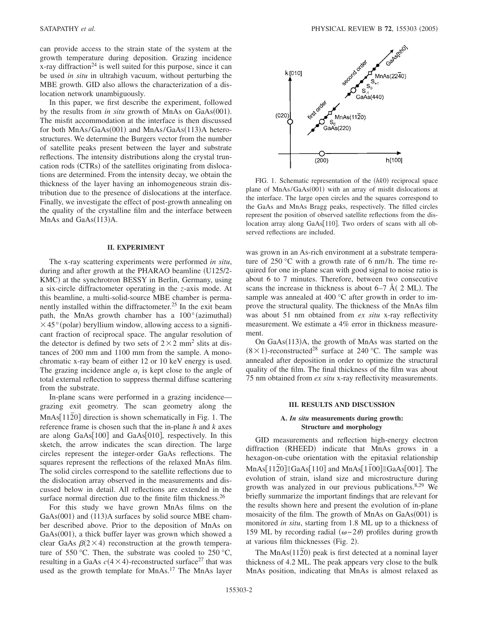can provide access to the strain state of the system at the growth temperature during deposition. Grazing incidence x-ray diffraction<sup>24</sup> is well suited for this purpose, since it can be used *in situ* in ultrahigh vacuum, without perturbing the MBE growth. GID also allows the characterization of a dislocation network unambiguously.

In this paper, we first describe the experiment, followed by the results from *in situ* growth of MnAs on GaAs(001). The misfit accommodation at the interface is then discussed for both MnAs/GaAs(001) and MnAs/GaAs(113)A heterostructures. We determine the Burgers vector from the number of satellite peaks present between the layer and substrate reflections. The intensity distributions along the crystal truncation rods (CTRs) of the satellites originating from dislocations are determined. From the intensity decay, we obtain the thickness of the layer having an inhomogeneous strain distribution due to the presence of dislocations at the interface. Finally, we investigate the effect of post-growth annealing on the quality of the crystalline film and the interface between MnAs and  $GaAs(113)A$ .

#### **II. EXPERIMENT**

The x-ray scattering experiments were performed *in situ*, during and after growth at the PHARAO beamline (U125/2-KMC) at the synchrotron BESSY in Berlin, Germany, using a six-circle diffractometer operating in the *z*-axis mode. At this beamline, a multi-solid-source MBE chamber is permanently installed within the diffractometer.<sup>25</sup> In the exit beam path, the MnAs growth chamber has a  $100^{\circ}$  (azimuthal)  $\times$  45 $\degree$  (polar) beryllium window, allowing access to a significant fraction of reciprocal space. The angular resolution of the detector is defined by two sets of  $2 \times 2$  mm<sup>2</sup> slits at distances of 200 mm and 1100 mm from the sample. A monochromatic x-ray beam of either 12 or 10 keV energy is used. The grazing incidence angle  $\alpha_i$  is kept close to the angle of total external reflection to suppress thermal diffuse scattering from the substrate.

In-plane scans were performed in a grazing incidence grazing exit geometry. The scan geometry along the MnAs<sup>[1120]</sup> direction is shown schematically in Fig. 1. The reference frame is chosen such that the in-plane *h* and *k* axes are along  $GaAs[100]$  and  $GaAs[010]$ , respectively. In this sketch, the arrow indicates the scan direction. The large circles represent the integer-order GaAs reflections. The squares represent the reflections of the relaxed MnAs film. The solid circles correspond to the satellite reflections due to the dislocation array observed in the measurements and discussed below in detail. All reflections are extended in the surface normal direction due to the finite film thickness.<sup>26</sup>

For this study we have grown MnAs films on the GaAs(001) and (113)A surfaces by solid source MBE chamber described above. Prior to the deposition of MnAs on GaAs(001), a thick buffer layer was grown which showed a clear GaAs  $\beta(2\times4)$  reconstruction at the growth temperature of 550 °C. Then, the substrate was cooled to 250 °C, resulting in a GaAs  $c(4 \times 4)$ -reconstructed surface<sup>27</sup> that was used as the growth template for MnAs.<sup>17</sup> The MnAs layer



FIG. 1. Schematic representation of the (hk0) reciprocal space plane of MnAs/GaAs(001) with an array of misfit dislocations at the interface. The large open circles and the squares correspond to the GaAs and MnAs Bragg peaks, respectively. The filled circles represent the position of observed satellite reflections from the dislocation array along GaAs[110]. Two orders of scans with all observed reflections are included.

was grown in an As-rich environment at a substrate temperature of 250 °C with a growth rate of 6 nm/h. The time required for one in-plane scan with good signal to noise ratio is about 6 to 7 minutes. Therefore, between two consecutive scans the increase in thickness is about  $6-7$  Å(  $2$  ML). The sample was annealed at 400 °C after growth in order to improve the structural quality. The thickness of the MnAs film was about 51 nm obtained from *ex situ* x-ray reflectivity measurement. We estimate a 4% error in thickness measurement.

On GaAs(113)A, the growth of MnAs was started on the  $(8 \times 1)$ -reconstructed<sup>28</sup> surface at 240 °C. The sample was annealed after deposition in order to optimize the structural quality of the film. The final thickness of the film was about 75 nm obtained from *ex situ* x-ray reflectivity measurements.

## **III. RESULTS AND DISCUSSION**

# **A.** *In situ* **measurements during growth: Structure and morphology**

GID measurements and reflection high-energy electron diffraction (RHEED) indicate that MnAs grows in a hexagon-on-cube orientation with the epitaxial relationship  $MnAs[11\overline{2}0]||GaAs[110]$  and  $MnAs[1\overline{1}00]||GaAs[001]$ . The evolution of strain, island size and microstructure during growth was analyzed in our previous publications. $8,29$  We briefly summarize the important findings that are relevant for the results shown here and present the evolution of in-plane mosaicity of the film. The growth of MnAs on GaAs(001) is monitored *in situ*, starting from 1.8 ML up to a thickness of 159 ML by recording radial  $(ω-2θ)$  profiles during growth at various film thicknesses (Fig. 2).

The MnAs(112<sup>o</sup>) peak is first detected at a nominal layer thickness of 4.2 ML. The peak appears very close to the bulk MnAs position, indicating that MnAs is almost relaxed as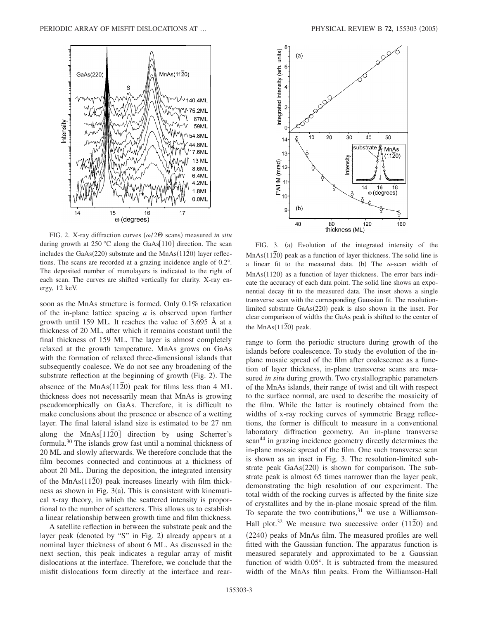

FIG. 2. X-ray diffraction curves  $(\omega/2\Theta \text{ scans})$  measured *in situ* during growth at 250 °C along the GaAs[110] direction. The scan includes the GaAs(220) substrate and the  $MnAs(11\overline{2}0)$  layer reflections. The scans are recorded at a grazing incidence angle of 0.2°. The deposited number of monolayers is indicated to the right of each scan. The curves are shifted vertically for clarity. X-ray energy, 12 keV.

soon as the MnAs structure is formed. Only 0.1% relaxation of the in-plane lattice spacing *a* is observed upon further growth until 159 ML. It reaches the value of 3.695 Å at a thickness of 20 ML, after which it remains constant until the final thickness of 159 ML. The layer is almost completely relaxed at the growth temperature. MnAs grows on GaAs with the formation of relaxed three-dimensional islands that subsequently coalesce. We do not see any broadening of the substrate reflection at the beginning of growth (Fig. 2). The absence of the  $MnAs(11\overline{2}0)$  peak for films less than 4 ML thickness does not necessarily mean that MnAs is growing pseudomorphically on GaAs. Therefore, it is difficult to make conclusions about the presence or absence of a wetting layer. The final lateral island size is estimated to be 27 nm along the MnAs<sup>[112]</sup> direction by using Scherrer's formula.30 The islands grow fast until a nominal thickness of 20 ML and slowly afterwards. We therefore conclude that the film becomes connected and continuous at a thickness of about 20 ML. During the deposition, the integrated intensity of the MnAs(112<sup>o</sup>) peak increases linearly with film thickness as shown in Fig.  $3(a)$ . This is consistent with kinematical x-ray theory, in which the scattered intensity is proportional to the number of scatterers. This allows us to establish a linear relationship between growth time and film thickness.

A satellite reflection in between the substrate peak and the layer peak (denoted by "S" in Fig. 2) already appears at a nominal layer thickness of about 6 ML. As discussed in the next section, this peak indicates a regular array of misfit dislocations at the interface. Therefore, we conclude that the misfit dislocations form directly at the interface and rear-



FIG. 3. (a) Evolution of the integrated intensity of the MnAs( $11\overline{2}$ <sup>o</sup>) peak as a function of layer thickness. The solid line is a linear fit to the measured data. (b) The  $\omega$ -scan width of MnAs(112<sup>o</sup>) as a function of layer thickness. The error bars indicate the accuracy of each data point. The solid line shows an exponential decay fit to the measured data. The inset shows a single transverse scan with the corresponding Gaussian fit. The resolutionlimited substrate GaAs(220) peak is also shown in the inset. For clear comparison of widths the GaAs peak is shifted to the center of the  $MnAs(11\overline{2}0)$  peak.

range to form the periodic structure during growth of the islands before coalescence. To study the evolution of the inplane mosaic spread of the film after coalescence as a function of layer thickness, in-plane transverse scans are measured *in situ* during growth. Two crystallographic parameters of the MnAs islands, their range of twist and tilt with respect to the surface normal, are used to describe the mosaicity of the film. While the latter is routinely obtained from the widths of x-ray rocking curves of symmetric Bragg reflections, the former is difficult to measure in a conventional laboratory diffraction geometry. An in-plane transverse scan<sup>44</sup> in grazing incidence geometry directly determines the in-plane mosaic spread of the film. One such transverse scan is shown as an inset in Fig. 3. The resolution-limited substrate peak GaAs(220) is shown for comparison. The substrate peak is almost 65 times narrower than the layer peak, demonstrating the high resolution of our experiment. The total width of the rocking curves is affected by the finite size of crystallites and by the in-plane mosaic spread of the film. To separate the two contributions, $31$  we use a Williamson-Hall plot.<sup>32</sup> We measure two successive order  $(11\overline{2}0)$  and  $(2240)$  peaks of MnAs film. The measured profiles are well fitted with the Gaussian function. The apparatus function is measured separately and approximated to be a Gaussian function of width 0.05°. It is subtracted from the measured width of the MnAs film peaks. From the Williamson-Hall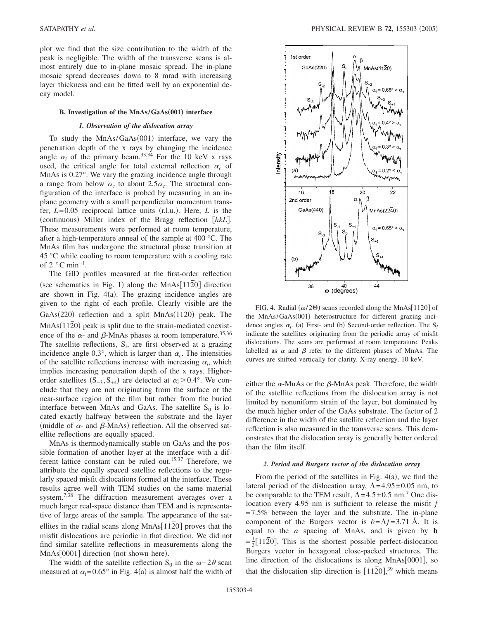plot we find that the size contribution to the width of the peak is negligible. The width of the transverse scans is almost entirely due to in-plane mosaic spread. The in-plane mosaic spread decreases down to 8 mrad with increasing layer thickness and can be fitted well by an exponential decay model.

#### **B.** Investigation of the MnAs/GaAs(001) interface

#### *1. Observation of the dislocation array*

To study the MnAs/GaAs(001) interface, we vary the penetration depth of the x rays by changing the incidence angle  $\alpha_i$  of the primary beam.<sup>33,34</sup> For the 10 keV x rays used, the critical angle for total external reflection  $\alpha_c$  of MnAs is 0.27°. We vary the grazing incidence angle through a range from below  $\alpha_c$  to about 2.5 $\alpha_c$ . The structural configuration of the interface is probed by measuring in an inplane geometry with a small perpendicular momentum transfer,  $L=0.05$  reciprocal lattice units (r.l.u.). Here,  $L$  is the (continuous) Miller index of the Bragg reflection [hkL]. These measurements were performed at room temperature, after a high-temperature anneal of the sample at 400 °C. The MnAs film has undergone the structural phase transition at 45 °C while cooling to room temperature with a cooling rate of  $2 \degree$ C min<sup>-1</sup>.

The GID profiles measured at the first-order reflection see schematics in Fig. 1) along the MnAs[112<sup>o]</sup> direction are shown in Fig. 4(a). The grazing incidence angles are given to the right of each profile. Clearly visible are the GaAs(220) reflection and a split MnAs(112<sup>o</sup>) peak. The MnAs(112<sup>o</sup>) peak is split due to the strain-mediated coexistence of the  $\alpha$ - and  $\beta$ -MnAs phases at room temperature.<sup>35,36</sup> The satellite reflections,  $S_i$ , are first observed at a grazing incidence angle  $0.3^{\circ}$ , which is larger than  $\alpha_c$ . The intensities of the satellite reflections increase with increasing  $\alpha_i$ , which implies increasing penetration depth of the x rays. Higherorder satellites  $(S_{-3}, S_{+4})$  are detected at  $\alpha_i > 0.4^\circ$ . We conclude that they are not originating from the surface or the near-surface region of the film but rather from the buried interface between MnAs and GaAs. The satellite  $S_0$  is located exactly halfway between the substrate and the layer (middle of  $\alpha$ - and  $\beta$ -MnAs) reflection. All the observed satellite reflections are equally spaced.

MnAs is thermodynamically stable on GaAs and the possible formation of another layer at the interface with a different lattice constant can be ruled out.<sup>15,37</sup> Therefore, we attribute the equally spaced satellite reflections to the regularly spaced misfit dislocations formed at the interface. These results agree well with TEM studies on the same material system.<sup>7,38</sup> The diffraction measurement averages over a much larger real-space distance than TEM and is representative of large areas of the sample. The appearance of the satellites in the radial scans along  $MnAs[11\overline{2}0]$  proves that the misfit dislocations are periodic in that direction. We did not find similar satellite reflections in measurements along the MnAs<sup>[0001]</sup> direction (not shown here).

The width of the satellite reflection S<sub>0</sub> in the  $\omega - 2\theta$  scan measured at  $\alpha_i = 0.65^\circ$  in Fig. 4(a) is almost half the width of



FIG. 4. Radial ( $\omega$ /2 $\Theta$ ) scans recorded along the MnAs[11 $\overline{2}0$ ] of the MnAs/GaAs(001) heterostructure for different grazing incidence angles  $\alpha_i$ . (a) First- and (b) Second-order reflection. The S<sub>*i*</sub> indicate the satellites originating from the periodic array of misfit dislocations. The scans are performed at room temperature. Peaks labelled as  $\alpha$  and  $\beta$  refer to the different phases of MnAs. The curves are shifted vertically for clarity. X-ray energy, 10 keV.

either the  $\alpha$ -MnAs or the  $\beta$ -MnAs peak. Therefore, the width of the satellite reflections from the dislocation array is not limited by nonuniform strain of the layer, but dominated by the much higher order of the GaAs substrate. The factor of 2 difference in the width of the satellite reflection and the layer reflection is also measured in the transverse scans. This demonstrates that the dislocation array is generally better ordered than the film itself.

#### *2. Period and Burgers vector of the dislocation array*

From the period of the satellites in Fig.  $4(a)$ , we find the lateral period of the dislocation array,  $\Lambda = 4.95 \pm 0.05$  nm, to be comparable to the TEM result,  $\Lambda = 4.5 \pm 0.5$  nm.<sup>7</sup> One dislocation every 4.95 nm is sufficient to release the misfit *f*  $=7.5\%$  between the layer and the substrate. The in-plane component of the Burgers vector is  $b = \Lambda f = 3.71$  Å. It is equal to the *a* spacing of MnAs, and is given by **b**  $=\frac{1}{3}[11\overline{2}0]$ . This is the shortest possible perfect-dislocation Burgers vector in hexagonal close-packed structures. The line direction of the dislocations is along  $MnAs[0001]$ , so that the dislocation slip direction is  $[11\overline{2}0]$ ,<sup>39</sup> which means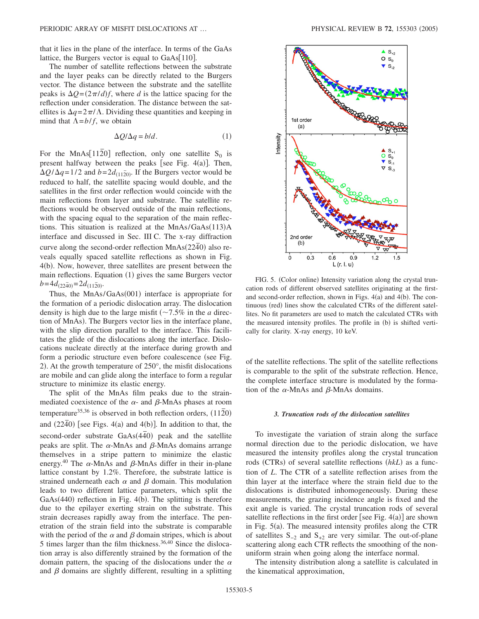that it lies in the plane of the interface. In terms of the GaAs lattice, the Burgers vector is equal to  $GaAs[110]$ .

The number of satellite reflections between the substrate and the layer peaks can be directly related to the Burgers vector. The distance between the substrate and the satellite peaks is  $\Delta Q = (2\pi/d)f$ , where *d* is the lattice spacing for the reflection under consideration. The distance between the satellites is  $\Delta q = 2\pi/\Lambda$ . Dividing these quantities and keeping in mind that  $\Lambda = b/f$ , we obtain

$$
\Delta Q/\Delta q = b/d. \tag{1}
$$

For the MnAs<sup>[1120]</sup> reflection, only one satellite  $S_0$  is present halfway between the peaks [see Fig.  $4(a)$ ]. Then,  $\Delta Q/\Delta q = 1/2$  and  $b = 2d_{(11\bar{2}0)}$ . If the Burgers vector would be reduced to half, the satellite spacing would double, and the satellites in the first order reflection would coincide with the main reflections from layer and substrate. The satellite reflections would be observed outside of the main reflections, with the spacing equal to the separation of the main reflections. This situation is realized at the MnAs/GaAs(113)A interface and discussed in Sec. III C. The x-ray diffraction curve along the second-order reflection MnAs(2240) also reveals equally spaced satellite reflections as shown in Fig. 4(b). Now, however, three satellites are present between the main reflections. Equation (1) gives the same Burgers vector  $b = 4d_{(2240)} = 2d_{(1120)}$ 

Thus, the MnAs/GaAs(001) interface is appropriate for the formation of a periodic dislocation array. The dislocation density is high due to the large misfit  $\left(\sim 7.5\% \text{ in the } a \text{ direct}\right)$ tion of MnAs). The Burgers vector lies in the interface plane, with the slip direction parallel to the interface. This facilitates the glide of the dislocations along the interface. Dislocations nucleate directly at the interface during growth and form a periodic structure even before coalescence (see Fig. 2). At the growth temperature of 250°, the misfit dislocations are mobile and can glide along the interface to form a regular structure to minimize its elastic energy.

The split of the MnAs film peaks due to the strainmediated coexistence of the  $\alpha$ - and  $\beta$ -MnAs phases at room temperature<sup>35,36</sup> is observed in both reflection orders,  $(11\overline{2}0)$ and  $(22\bar{4}0)$  [see Figs. 4(a) and 4(b)]. In addition to that, the second-order substrate GaAs(4 $\overline{40}$ ) peak and the satellite peaks are split. The  $\alpha$ -MnAs and  $\beta$ -MnAs domains arrange themselves in a stripe pattern to minimize the elastic energy.<sup>40</sup> The  $\alpha$ -MnAs and  $\beta$ -MnAs differ in their in-plane lattice constant by 1.2%. Therefore, the substrate lattice is strained underneath each  $\alpha$  and  $\beta$  domain. This modulation leads to two different lattice parameters, which split the GaAs(440) reflection in Fig. 4(b). The splitting is therefore due to the epilayer exerting strain on the substrate. This strain decreases rapidly away from the interface. The penetration of the strain field into the substrate is comparable with the period of the  $\alpha$  and  $\beta$  domain stripes, which is about 5 times larger than the film thickness.  $36,40$  Since the dislocation array is also differently strained by the formation of the domain pattern, the spacing of the dislocations under the  $\alpha$ and  $\beta$  domains are slightly different, resulting in a splitting



FIG. 5. (Color online) Intensity variation along the crystal truncation rods of different observed satellites originating at the firstand second-order reflection, shown in Figs.  $4(a)$  and  $4(b)$ . The continuous (red) lines show the calculated CTRs of the different satellites. No fit parameters are used to match the calculated CTRs with the measured intensity profiles. The profile in (b) is shifted vertically for clarity. X-ray energy, 10 keV.

of the satellite reflections. The split of the satellite reflections is comparable to the split of the substrate reflection. Hence, the complete interface structure is modulated by the formation of the  $\alpha$ -MnAs and  $\beta$ -MnAs domains.

#### *3. Truncation rods of the dislocation satellites*

To investigate the variation of strain along the surface normal direction due to the periodic dislocation, we have measured the intensity profiles along the crystal truncation rods (CTRs) of several satellite reflections *(hkL)* as a function of *L*. The CTR of a satellite reflection arises from the thin layer at the interface where the strain field due to the dislocations is distributed inhomogeneously. During these measurements, the grazing incidence angle is fixed and the exit angle is varied. The crystal truncation rods of several satellite reflections in the first order [see Fig.  $4(a)$ ] are shown in Fig.  $5(a)$ . The measured intensity profiles along the CTR of satellites  $S_{-2}$  and  $S_{+2}$  are very similar. The out-of-plane scattering along each CTR reflects the smoothing of the nonuniform strain when going along the interface normal.

The intensity distribution along a satellite is calculated in the kinematical approximation,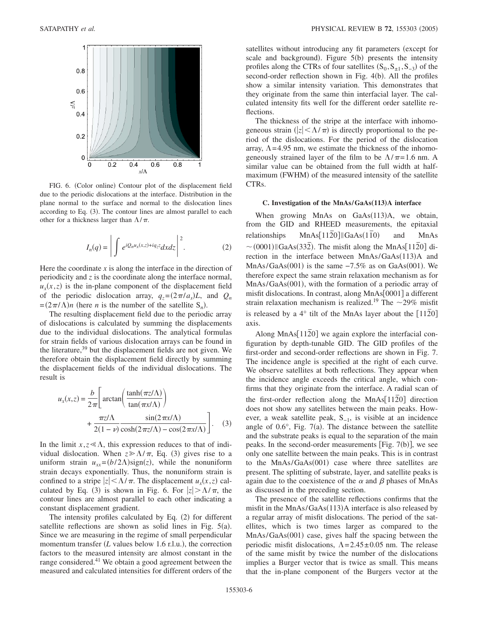

FIG. 6. (Color online) Contour plot of the displacement field due to the periodic dislocations at the interface. Distribution in the plane normal to the surface and normal to the dislocation lines according to Eq. (3). The contour lines are almost parallel to each other for a thickness larger than  $\Lambda/\pi$ .

$$
I_n(q) = \left| \int e^{iQ_n u_x(x,z) + iq_z z} dx dz \right|^2.
$$
 (2)

Here the coordinate  $x$  is along the interface in the direction of periodicity and *z* is the coordinate along the interface normal,  $u_x(x, z)$  is the in-plane component of the displacement field of the periodic dislocation array,  $q_z = (2\pi/a_s)L$ , and  $Q_n$  $=(2\pi/\Lambda)n$  (here *n* is the number of the satellite S<sub>n</sub>).

The resulting displacement field due to the periodic array of dislocations is calculated by summing the displacements due to the individual dislocations. The analytical formulas for strain fields of various dislocation arrays can be found in the literature,  $39$  but the displacement fields are not given. We therefore obtain the displacement field directly by summing the displacement fields of the individual dislocations. The result is

$$
u_x(x,z) = \frac{b}{2\pi} \left[ \arctan\left(\frac{\tanh(\pi z/\Lambda)}{\tan(\pi x/\Lambda)}\right) + \frac{\pi z/\Lambda}{2(1-\nu)} \frac{\sin(2\pi x/\Lambda)}{\cosh(2\pi z/\Lambda) - \cos(2\pi x/\Lambda)} \right].
$$
 (3)

In the limit  $x, z \le \Lambda$ , this expression reduces to that of individual dislocation. When  $z \ge \Lambda/\pi$ , Eq. (3) gives rise to a uniform strain  $u_{xx} = (b/2\Lambda)\text{sign}(z)$ , while the nonuniform strain decays exponentially. Thus, the nonuniform strain is confined to a stripe  $|z| < \Lambda/\pi$ . The displacement  $u_x(x, z)$  calculated by Eq. (3) is shown in Fig. 6. For  $|z| > \Lambda/\pi$ , the contour lines are almost parallel to each other indicating a constant displacement gradient.

The intensity profiles calculated by Eq. (2) for different satellite reflections are shown as solid lines in Fig.  $5(a)$ . Since we are measuring in the regime of small perpendicular momentum transfer (*L* values below 1.6 r.l.u.), the correction factors to the measured intensity are almost constant in the range considered.<sup>41</sup> We obtain a good agreement between the measured and calculated intensities for different orders of the satellites without introducing any fit parameters (except for scale and background). Figure 5(b) presents the intensity profiles along the CTRs of four satellites  $(S_0, S_{\pm 1}, S_{-3})$  of the second-order reflection shown in Fig. 4(b). All the profiles show a similar intensity variation. This demonstrates that they originate from the same thin interfacial layer. The calculated intensity fits well for the different order satellite reflections.

The thickness of the stripe at the interface with inhomogeneous strain  $\left( |z| \leq \Lambda / \pi \right)$  is directly proportional to the period of the dislocations. For the period of the dislocation array,  $\Lambda$ =4.95 nm, we estimate the thickness of the inhomogeneously strained layer of the film to be  $\Lambda/\pi$ =1.6 nm. A similar value can be obtained from the full width at halfmaximum (FWHM) of the measured intensity of the satellite CTRs.

#### **C. Investigation of the MnAs/GaAs**"**113**…**A interface**

When growing MnAs on GaAs(113)A, we obtain, from the GID and RHEED measurements, the epitaxial relationships MnAs[1120]||GaAs(110) and MnAs  $\sim$  (0001) ||GaAs(332<sup> $\overline{2}$ </sup>). The misfit along the MnAs[112<sup>^</sup>0] direction in the interface between MnAs/GaAs(113)A and MnAs/GaAs $(001)$  is the same  $-7.5\%$  as on GaAs $(001)$ . We therefore expect the same strain relaxation mechanism as for MnAs/GaAs(001), with the formation of a periodic array of misfit dislocations. In contrast, along  $MnAs[0001]$  a different strain relaxation mechanism is realized.<sup>19</sup> The  $\sim$ 29% misfit is released by a 4 $\degree$  tilt of the MnAs layer about the [112<sup>7</sup>0] axis.

Along MnAs<sup>[1120]</sup> we again explore the interfacial configuration by depth-tunable GID. The GID profiles of the first-order and second-order reflections are shown in Fig. 7. The incidence angle is specified at the right of each curve. We observe satellites at both reflections. They appear when the incidence angle exceeds the critical angle, which confirms that they originate from the interface. A radial scan of the first-order reflection along the MnAs<sup>[1120]</sup> direction does not show any satellites between the main peaks. However, a weak satellite peak, S−1, is visible at an incidence angle of  $0.6^{\circ}$ , Fig. 7(a). The distance between the satellite and the substrate peaks is equal to the separation of the main peaks. In the second-order measurements [Fig. 7(b)], we see only one satellite between the main peaks. This is in contrast to the MnAs/GaAs(001) case where three satellites are present. The splitting of substrate, layer, and satellite peaks is again due to the coexistence of the  $\alpha$  and  $\beta$  phases of MnAs as discussed in the preceding section.

The presence of the satellite reflections confirms that the misfit in the MnAs/GaAs(113)A interface is also released by a regular array of misfit dislocations. The period of the satellites, which is two times larger as compared to the MnAs/GaAs(001) case, gives half the spacing between the periodic misfit dislocations,  $\Lambda = 2.45 \pm 0.05$  nm. The release of the same misfit by twice the number of the dislocations implies a Burger vector that is twice as small. This means that the in-plane component of the Burgers vector at the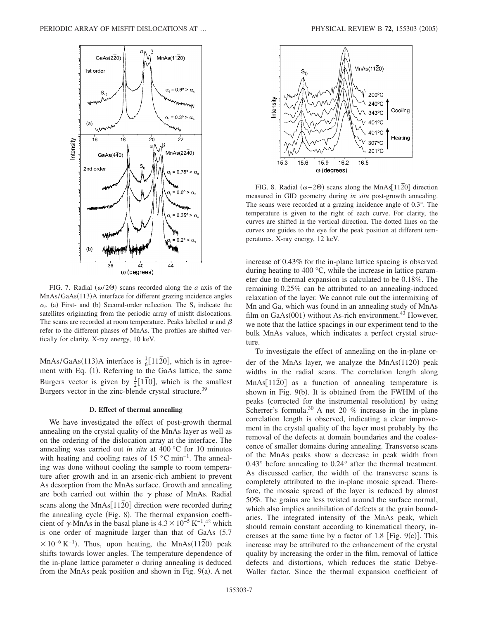

FIG. 7. Radial  $(\omega/2\Theta)$  scans recorded along the *a* axis of the MnAs/GaAs(113)A interface for different grazing incidence angles  $\alpha_i$ . (a) First- and (b) Second-order reflection. The S<sub>*i*</sub> indicate the satellites originating from the periodic array of misfit dislocations. The scans are recorded at room temperature. Peaks labelled  $\alpha$  and  $\beta$ refer to the different phases of MnAs. The profiles are shifted vertically for clarity. X-ray energy, 10 keV.

MnAs/GaAs(113)A interface is  $\frac{1}{6}$ [1120], which is in agreement with Eq. (1). Referring to the GaAs lattice, the same Burgers vector is given by  $\frac{1}{2}$ [1<sup>*T*o</sup>], which is the smallest Burgers vector in the zinc-blende crystal structure.<sup>39</sup>

#### **D. Effect of thermal annealing**

We have investigated the effect of post-growth thermal annealing on the crystal quality of the MnAs layer as well as on the ordering of the dislocation array at the interface. The annealing was carried out *in situ* at 400 °C for 10 minutes with heating and cooling rates of 15  $\degree$ C min<sup>-1</sup>. The annealing was done without cooling the sample to room temperature after growth and in an arsenic-rich ambient to prevent As desorption from the MnAs surface. Growth and annealing are both carried out within the  $\gamma$  phase of MnAs. Radial scans along the MnAs<sup>[1120]</sup> direction were recorded during the annealing cycle (Fig. 8). The thermal expansion coefficient of  $\gamma$ -MnAs in the basal plane is  $4.3 \times 10^{-5}$  K<sup>-1</sup>,<sup>42</sup> which is one order of magnitude larger than that of GaAs (5.7  $10^{-6}$  K<sup>-1</sup>). Thus, upon heating, the MnAs(112<sup> $\overline{2}$ </sup>) peak shifts towards lower angles. The temperature dependence of the in-plane lattice parameter *a* during annealing is deduced from the MnAs peak position and shown in Fig. 9(a). A net



FIG. 8. Radial  $(\omega - 2\Theta)$  scans along the MnAs[112<sup>o</sup>] direction measured in GID geometry during *in situ* post-growth annealing. The scans were recorded at a grazing incidence angle of 0.3°. The temperature is given to the right of each curve. For clarity, the curves are shifted in the vertical direction. The dotted lines on the curves are guides to the eye for the peak position at different temperatures. X-ray energy, 12 keV.

increase of 0.43% for the in-plane lattice spacing is observed during heating to 400 °C, while the increase in lattice parameter due to thermal expansion is calculated to be 0.18%. The remaining 0.25% can be attributed to an annealing-induced relaxation of the layer. We cannot rule out the intermixing of Mn and Ga, which was found in an annealing study of MnAs film on  $GaAs(001)$  without As-rich environment.<sup>43</sup> However, we note that the lattice spacings in our experiment tend to the bulk MnAs values, which indicates a perfect crystal structure.

To investigate the effect of annealing on the in-plane order of the MnAs layer, we analyze the  $MnAs(11\overline{2}0)$  peak widths in the radial scans. The correlation length along MnAs[ $11\overline{2}0$ ] as a function of annealing temperature is shown in Fig. 9(b). It is obtained from the FWHM of the peaks (corrected for the instrumental resolution) by using Scherrer's formula.<sup>30</sup> A net 20 % increase in the in-plane correlation length is observed, indicating a clear improvement in the crystal quality of the layer most probably by the removal of the defects at domain boundaries and the coalescence of smaller domains during annealing. Transverse scans of the MnAs peaks show a decrease in peak width from 0.43° before annealing to 0.24° after the thermal treatment. As discussed earlier, the width of the transverse scans is completely attributed to the in-plane mosaic spread. Therefore, the mosaic spread of the layer is reduced by almost 50%. The grains are less twisted around the surface normal, which also implies annihilation of defects at the grain boundaries. The integrated intensity of the MnAs peak, which should remain constant according to kinematical theory, increases at the same time by a factor of  $1.8$  [Fig. 9(c)]. This increase may be attributed to the enhancement of the crystal quality by increasing the order in the film, removal of lattice defects and distortions, which reduces the static Debye-Waller factor. Since the thermal expansion coefficient of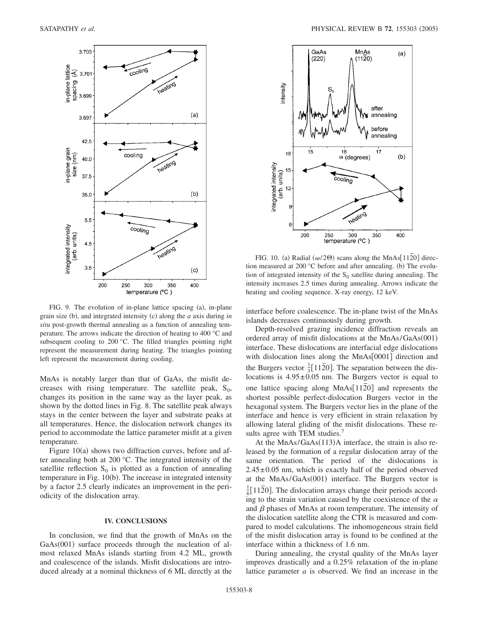

FIG. 9. The evolution of in-plane lattice spacing (a), in-plane grain size (b), and integrated intensity (c) along the *a* axis during *in situ* post-growth thermal annealing as a function of annealing temperature. The arrows indicate the direction of heating to 400 °C and subsequent cooling to 200 °C. The filled triangles pointing right represent the measurement during heating. The triangles pointing left represent the measurement during cooling.

MnAs is notably larger than that of GaAs, the misfit decreases with rising temperature. The satellite peak,  $S_0$ , changes its position in the same way as the layer peak, as shown by the dotted lines in Fig. 8. The satellite peak always stays in the center between the layer and substrate peaks at all temperatures. Hence, the dislocation network changes its period to accommodate the lattice parameter misfit at a given temperature.

Figure 10(a) shows two diffraction curves, before and after annealing both at 200 °C. The integrated intensity of the satellite reflection  $S_0$  is plotted as a function of annealing temperature in Fig. 10(b). The increase in integrated intensity by a factor 2.5 clearly indicates an improvement in the periodicity of the dislocation array.

## **IV. CONCLUSIONS**

In conclusion, we find that the growth of MnAs on the GaAs(001) surface proceeds through the nucleation of almost relaxed MnAs islands starting from 4.2 ML, growth and coalescence of the islands. Misfit dislocations are introduced already at a nominal thickness of 6 ML directly at the



FIG. 10. (a) Radial  $(\omega/2\Theta)$  scans along the MnAs[112<sup>o]</sup> direction measured at 200 °C before and after annealing. (b) The evolution of integrated intensity of the  $S_0$  satellite during annealing. The intensity increases 2.5 times during annealing. Arrows indicate the heating and cooling sequence. X-ray energy, 12 keV.

interface before coalescence. The in-plane twist of the MnAs islands decreases continuously during growth.

Depth-resolved grazing incidence diffraction reveals an ordered array of misfit dislocations at the MnAs/GaAs(001) interface. These dislocations are interfacial edge dislocations with dislocation lines along the  $MnAs[0001]$  direction and the Burgers vector  $\frac{1}{3}$ [11 $\overline{2}$ 0]. The separation between the dislocations is  $4.95 \pm 0.05$  nm. The Burgers vector is equal to one lattice spacing along  $MnAs[11\overline{2}0]$  and represents the shortest possible perfect-dislocation Burgers vector in the hexagonal system. The Burgers vector lies in the plane of the interface and hence is very efficient in strain relaxation by allowing lateral gliding of the misfit dislocations. These results agree with TEM studies.<sup>7</sup>

At the  $MnAs/GaAs(113)A$  interface, the strain is also released by the formation of a regular dislocation array of the same orientation. The period of the dislocations is  $2.45\pm0.05$  nm, which is exactly half of the period observed at the MnAs/GaAs(001) interface. The Burgers vector is  $\frac{1}{6}$ [11 $\overline{2}$ 0]. The dislocation arrays change their periods according to the strain variation caused by the coexistence of the  $\alpha$ and  $\beta$  phases of MnAs at room temperature. The intensity of the dislocation satellite along the CTR is measured and compared to model calculations. The inhomogeneous strain field of the misfit dislocation array is found to be confined at the interface within a thickness of 1.6 nm.

During annealing, the crystal quality of the MnAs layer improves drastically and a 0.25% relaxation of the in-plane lattice parameter *a* is observed. We find an increase in the